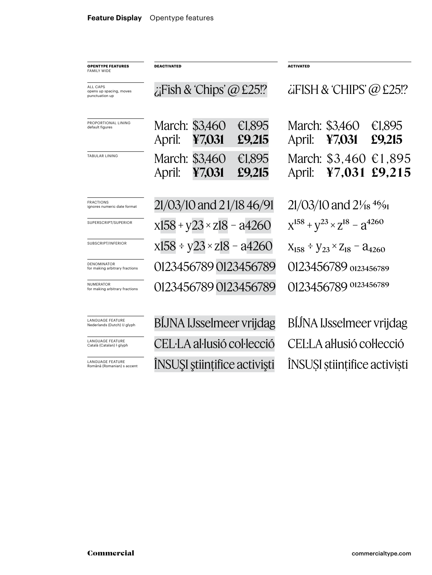| <b>OPENTYPE FEATURES</b><br><b>FAMILY WIDE</b>         | <b>DEACTIVATED</b>                 |                          |                  | <b>ACTIVATED</b>                                |                          |                  |
|--------------------------------------------------------|------------------------------------|--------------------------|------------------|-------------------------------------------------|--------------------------|------------------|
| ALL CAPS<br>opens up spacing, moves<br>punctuation up  | $\chi$ Fish & 'Chips' @ £25!?      |                          |                  | $\ddot{\alpha}$ FISH & CHIPS' @ £25!?           |                          |                  |
| PROPORTIONAL LINING<br>default figures                 | April:                             | March: \$3,460<br>¥7,031 | €1,895<br>£9,215 | April:                                          | March: \$3,460<br>47,031 | €1,895<br>£9,215 |
| <b>TABULAR LINING</b>                                  | April:                             | March: \$3,460<br>¥7,031 | €1,895<br>£9,215 | April:                                          | March: \$3,460<br>47,031 | €1,895<br>£9,215 |
| <b>FRACTIONS</b><br>ignores numeric date format        | 21/03/10 and 21/18 46/91           |                          |                  | $21/03/10$ and $2\frac{1}{8}$ 4%                |                          |                  |
| SUPERSCRIPT/SUPERIOR                                   | $x158 + y23 \times z18 - a4260$    |                          |                  | $X^{158} + Y^{23} \times Z^{18} - Z^{4260}$     |                          |                  |
| SUBSCRIPT/INFERIOR                                     | $x158 \div y23 \times z18 - a4260$ |                          |                  | $X_{158} \div Y_{23} \times Z_{18} - 24_{4260}$ |                          |                  |
| <b>DENOMINATOR</b><br>for making arbitrary fractions   | 0123456789 0123456789              |                          |                  | 0123456789 0123456789                           |                          |                  |
| <b>NUMERATOR</b><br>for making arbitrary fractions     | 0123456789 0123456789              |                          |                  | 0123456789 0123456789                           |                          |                  |
| <b>LANGUAGE FEATURE</b><br>Nederlands (Dutch) IJ glyph | BIJNA IJsselmeer vrijdag           |                          |                  | BIJNA IJsselmeer vrijdag                        |                          |                  |
| <b>LANGUAGE FEATURE</b><br>Català (Catalan) ŀ glyph    | CEL·LA al·lusió col·lecció         |                          |                  | CELLA al·lusió col·lecció                       |                          |                  |
| <b>LANGUAGE FEATURE</b><br>Română (Romanian) s accent  | INSUSI științifice activiști       |                          |                  | INSUSI științifice activiști                    |                          |                  |